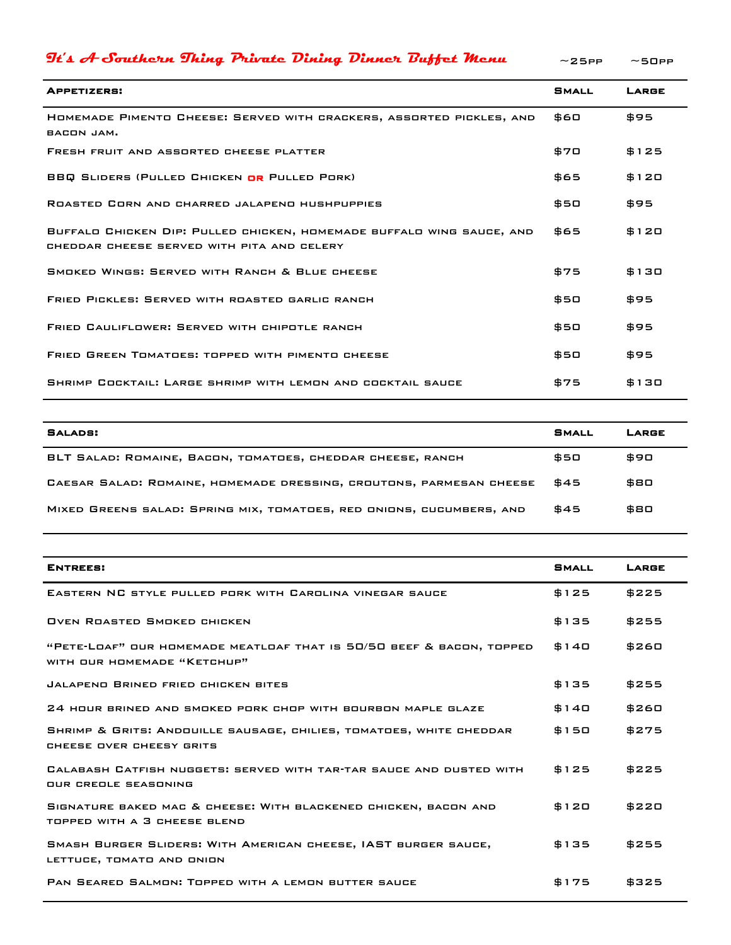| $\mathcal{I}$ t's A-Southern Thing Private Dining Dinner Buffet Menu                                                | $\sim$ 25PP  | $~15$ OPP |
|---------------------------------------------------------------------------------------------------------------------|--------------|-----------|
| <b>APPETIZERS:</b>                                                                                                  | <b>SMALL</b> | LARGE     |
| HOMEMADE PIMENTO CHEESE: SERVED WITH CRACKERS, ASSORTED PICKLES, AND<br>BACON JAM.                                  | 560          | \$95      |
| FRESH FRUIT AND ASSORTED CHEESE PLATTER                                                                             | \$70         | \$125     |
| <b>BBQ SLIDERS (PULLED CHICKEN OR PULLED PORK)</b>                                                                  | \$65         | \$120     |
| ROASTED CORN AND CHARRED JALAPENO HUSHPUPPIES                                                                       | \$50         | \$95      |
| BUFFALO CHICKEN DIP: PULLED CHICKEN, HOMEMADE BUFFALO WING SAUCE, AND<br>CHEDDAR CHEESE SERVED WITH PITA AND CELERY | \$65         | \$120     |
| SMOKED WINGS: SERVED WITH RANCH & BLUE CHEESE                                                                       | \$75         | \$130     |
| FRIED PICKLES: SERVED WITH ROASTED GARLIC RANCH                                                                     | \$50         | \$95      |
| FRIED CAULIFLOWER: SERVED WITH CHIPOTLE RANCH                                                                       | \$50         | \$95      |
| <b>FRIED GREEN TOMATOES: TOPPED WITH PIMENTO CHEESE</b>                                                             | \$50         | \$95      |
| SHRIMP COCKTAIL: LARGE SHRIMP WITH LEMON AND COCKTAIL SAUCE                                                         | \$75         | \$130     |

| SALADS:                                                              | <b>SMALL</b> | LARGE |
|----------------------------------------------------------------------|--------------|-------|
| BLT SALAD: ROMAINE, BACON, TOMATOES, CHEDDAR CHEESE, RANCH           | \$50         | \$90  |
| CAESAR SALAD: ROMAINE, HOMEMADE DRESSING, CROUTONS, PARMESAN CHEESE  | \$45         | \$80  |
| MIXED GREENS SALAD: SPRING MIX, TOMATOES, RED ONIONS, CUCUMBERS, AND | \$45         | \$80  |

| <b>ENTREES:</b>                                                                                     | <b>SMALL</b>   | LARGE |
|-----------------------------------------------------------------------------------------------------|----------------|-------|
| EASTERN NC STYLE PULLED PORK WITH CAROLINA VINEGAR SAUCE                                            | \$125          | \$225 |
| <b>OVEN ROASTED SMOKED CHICKEN</b>                                                                  | \$135          | \$255 |
| "PETE-LOAF" OUR HOMEMADE MEATLOAF THAT IS 50/50 BEEF & BACON, TOPPED<br>WITH OUR HOMEMADE "KETCHUP" | \$140          | \$260 |
| JALAPEND BRINED FRIED CHICKEN BITES                                                                 | \$135<br>\$255 |       |
| 24 HOUR BRINED AND SMOKED PORK CHOP WITH BOURBON MAPLE GLAZE                                        | \$140          | \$260 |
| SHRIMP & GRITS: ANDOUILLE SAUSAGE, CHILIES, TOMATOES, WHITE CHEDDAR<br>CHEESE OVER CHEESY GRITS     | \$150          | \$275 |
| CALABASH CATFISH NUGGETS: SERVED WITH TAR-TAR SAUCE AND DUSTED WITH<br>OUR CREOLE SEASONING         | \$125          | \$225 |
| SIGNATURE BAKED MAC & CHEESE: WITH BLACKENED CHICKEN, BACON AND<br>TOPPED WITH A 3 CHEESE BLEND     | \$120          | \$220 |
| SMASH BURGER SLIDERS: WITH AMERICAN CHEESE, IAST BURGER SAUCE,<br>LETTUCE, TOMATO AND ONION         | \$135          | \$255 |
| PAN SEARED SALMON: TOPPED WITH A LEMON BUTTER SAUCE                                                 | \$175          | \$325 |